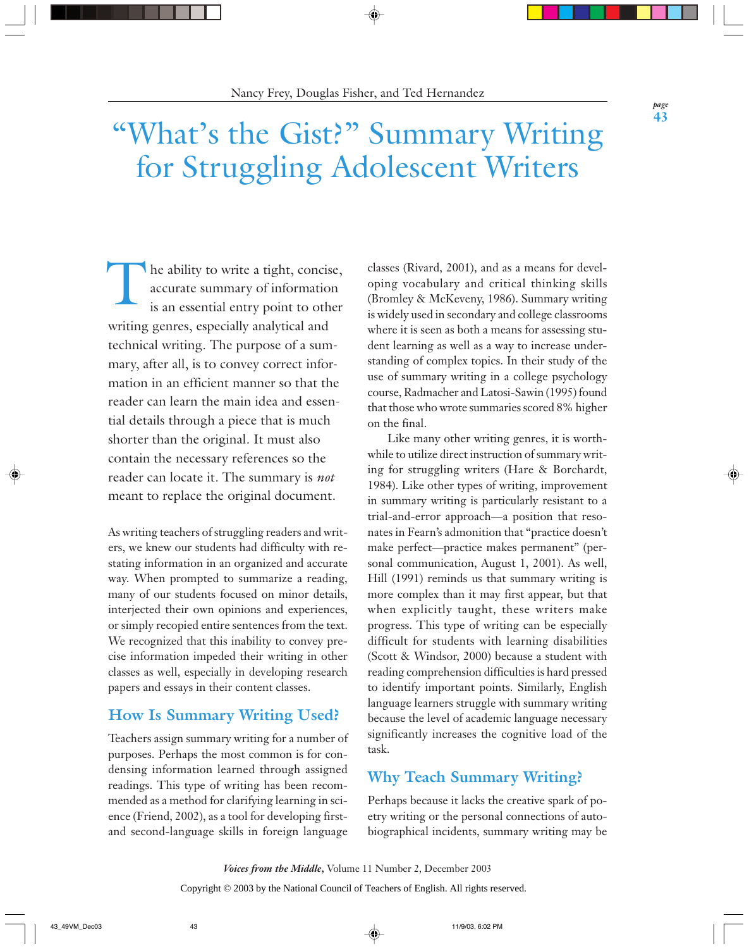# "What's the Gist?" Summary Writing for Struggling Adolescent Writers

The ability to write a tight, concise,<br>accurate summary of information<br>is an essential entry point to other accurate summary of information is an essential entry point to other writing genres, especially analytical and technical writing. The purpose of a summary, after all, is to convey correct information in an efficient manner so that the reader can learn the main idea and essential details through a piece that is much shorter than the original. It must also contain the necessary references so the reader can locate it. The summary is *not* meant to replace the original document.

As writing teachers of struggling readers and writers, we knew our students had difficulty with restating information in an organized and accurate way. When prompted to summarize a reading, many of our students focused on minor details, interjected their own opinions and experiences, or simply recopied entire sentences from the text. We recognized that this inability to convey precise information impeded their writing in other classes as well, especially in developing research papers and essays in their content classes.

# **How Is Summary Writing Used?**

Teachers assign summary writing for a number of purposes. Perhaps the most common is for condensing information learned through assigned readings. This type of writing has been recommended as a method for clarifying learning in science (Friend, 2002), as a tool for developing firstand second-language skills in foreign language

classes (Rivard, 2001), and as a means for developing vocabulary and critical thinking skills (Bromley & McKeveny, 1986). Summary writing is widely used in secondary and college classrooms where it is seen as both a means for assessing student learning as well as a way to increase understanding of complex topics. In their study of the use of summary writing in a college psychology course, Radmacher and Latosi-Sawin (1995) found that those who wrote summaries scored 8% higher on the final.

Like many other writing genres, it is worthwhile to utilize direct instruction of summary writing for struggling writers (Hare & Borchardt, 1984). Like other types of writing, improvement in summary writing is particularly resistant to a trial-and-error approach—a position that resonates in Fearn's admonition that "practice doesn't make perfect—practice makes permanent" (personal communication, August 1, 2001). As well, Hill (1991) reminds us that summary writing is more complex than it may first appear, but that when explicitly taught, these writers make progress. This type of writing can be especially difficult for students with learning disabilities (Scott & Windsor, 2000) because a student with reading comprehension difficulties is hard pressed to identify important points. Similarly, English language learners struggle with summary writing because the level of academic language necessary significantly increases the cognitive load of the task.

# **Why Teach Summary Writing?**

Perhaps because it lacks the creative spark of poetry writing or the personal connections of autobiographical incidents, summary writing may be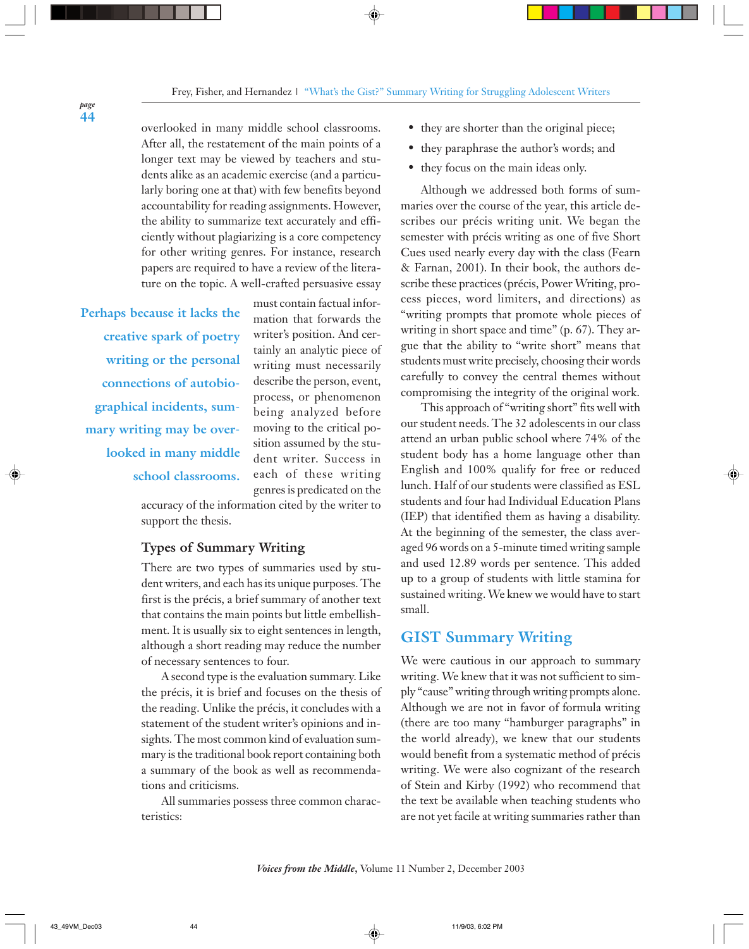overlooked in many middle school classrooms. After all, the restatement of the main points of a longer text may be viewed by teachers and students alike as an academic exercise (and a particularly boring one at that) with few benefits beyond accountability for reading assignments. However, the ability to summarize text accurately and efficiently without plagiarizing is a core competency for other writing genres. For instance, research papers are required to have a review of the literature on the topic. A well-crafted persuasive essay

**Perhaps because it lacks the creative spark of poetry writing or the personal connections of autobiographical incidents, summary writing may be overlooked in many middle school classrooms.**

must contain factual information that forwards the writer's position. And certainly an analytic piece of writing must necessarily describe the person, event, process, or phenomenon being analyzed before moving to the critical position assumed by the student writer. Success in each of these writing genres is predicated on the

accuracy of the information cited by the writer to support the thesis.

### **Types of Summary Writing**

There are two types of summaries used by student writers, and each has its unique purposes. The first is the précis, a brief summary of another text that contains the main points but little embellishment. It is usually six to eight sentences in length, although a short reading may reduce the number of necessary sentences to four.

A second type is the evaluation summary. Like the précis, it is brief and focuses on the thesis of the reading. Unlike the précis, it concludes with a statement of the student writer's opinions and insights. The most common kind of evaluation summary is the traditional book report containing both a summary of the book as well as recommendations and criticisms.

All summaries possess three common characteristics:

- they are shorter than the original piece;
- they paraphrase the author's words; and
- they focus on the main ideas only.

Although we addressed both forms of summaries over the course of the year, this article describes our précis writing unit. We began the semester with précis writing as one of five Short Cues used nearly every day with the class (Fearn & Farnan, 2001). In their book, the authors describe these practices (précis, Power Writing, process pieces, word limiters, and directions) as "writing prompts that promote whole pieces of writing in short space and time" (p. 67). They argue that the ability to "write short" means that students must write precisely, choosing their words carefully to convey the central themes without compromising the integrity of the original work.

This approach of "writing short" fits well with our student needs. The 32 adolescents in our class attend an urban public school where 74% of the student body has a home language other than English and 100% qualify for free or reduced lunch. Half of our students were classified as ESL students and four had Individual Education Plans (IEP) that identified them as having a disability. At the beginning of the semester, the class averaged 96 words on a 5-minute timed writing sample and used 12.89 words per sentence. This added up to a group of students with little stamina for sustained writing. We knew we would have to start small.

# **GIST Summary Writing**

We were cautious in our approach to summary writing. We knew that it was not sufficient to simply "cause" writing through writing prompts alone. Although we are not in favor of formula writing (there are too many "hamburger paragraphs" in the world already), we knew that our students would benefit from a systematic method of précis writing. We were also cognizant of the research of Stein and Kirby (1992) who recommend that the text be available when teaching students who are not yet facile at writing summaries rather than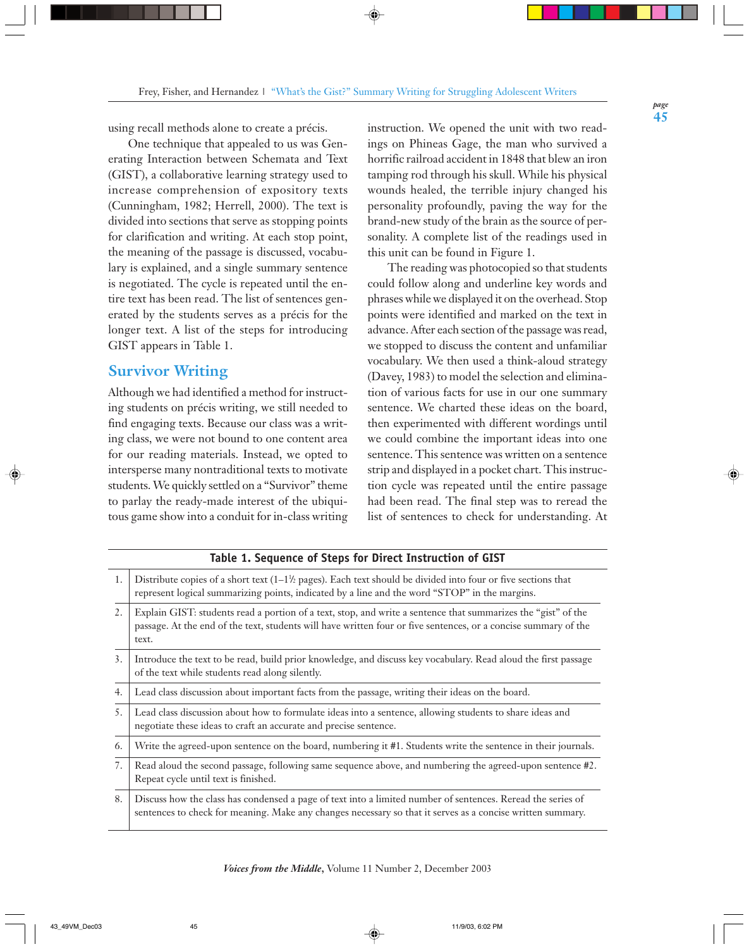using recall methods alone to create a précis.

One technique that appealed to us was Generating Interaction between Schemata and Text (GIST), a collaborative learning strategy used to increase comprehension of expository texts (Cunningham, 1982; Herrell, 2000). The text is divided into sections that serve as stopping points for clarification and writing. At each stop point, the meaning of the passage is discussed, vocabulary is explained, and a single summary sentence is negotiated. The cycle is repeated until the entire text has been read. The list of sentences generated by the students serves as a précis for the longer text. A list of the steps for introducing GIST appears in Table 1.

## **Survivor Writing**

Although we had identified a method for instructing students on précis writing, we still needed to find engaging texts. Because our class was a writing class, we were not bound to one content area for our reading materials. Instead, we opted to intersperse many nontraditional texts to motivate students. We quickly settled on a "Survivor" theme to parlay the ready-made interest of the ubiquitous game show into a conduit for in-class writing instruction. We opened the unit with two readings on Phineas Gage, the man who survived a horrific railroad accident in 1848 that blew an iron tamping rod through his skull. While his physical wounds healed, the terrible injury changed his personality profoundly, paving the way for the brand-new study of the brain as the source of personality. A complete list of the readings used in this unit can be found in Figure 1.

The reading was photocopied so that students could follow along and underline key words and phrases while we displayed it on the overhead. Stop points were identified and marked on the text in advance. After each section of the passage was read, we stopped to discuss the content and unfamiliar vocabulary. We then used a think-aloud strategy (Davey, 1983) to model the selection and elimination of various facts for use in our one summary sentence. We charted these ideas on the board, then experimented with different wordings until we could combine the important ideas into one sentence. This sentence was written on a sentence strip and displayed in a pocket chart. This instruction cycle was repeated until the entire passage had been read. The final step was to reread the list of sentences to check for understanding. At

| 1. | Distribute copies of a short text $(1-1)$ pages). Each text should be divided into four or five sections that<br>represent logical summarizing points, indicated by a line and the word "STOP" in the margins.                            |  |  |  |
|----|-------------------------------------------------------------------------------------------------------------------------------------------------------------------------------------------------------------------------------------------|--|--|--|
| 2. | Explain GIST: students read a portion of a text, stop, and write a sentence that summarizes the "gist" of the<br>passage. At the end of the text, students will have written four or five sentences, or a concise summary of the<br>text. |  |  |  |
| 3. | Introduce the text to be read, build prior knowledge, and discuss key vocabulary. Read aloud the first passage<br>of the text while students read along silently.                                                                         |  |  |  |
| 4. | Lead class discussion about important facts from the passage, writing their ideas on the board.                                                                                                                                           |  |  |  |
| 5. | Lead class discussion about how to formulate ideas into a sentence, allowing students to share ideas and<br>negotiate these ideas to craft an accurate and precise sentence.                                                              |  |  |  |
| 6. | Write the agreed-upon sentence on the board, numbering it #1. Students write the sentence in their journals.                                                                                                                              |  |  |  |
| 7. | Read aloud the second passage, following same sequence above, and numbering the agreed-upon sentence #2.<br>Repeat cycle until text is finished.                                                                                          |  |  |  |
| 8. | Discuss how the class has condensed a page of text into a limited number of sentences. Reread the series of<br>sentences to check for meaning. Make any changes necessary so that it serves as a concise written summary.                 |  |  |  |

# **Table 1. Sequence of Steps for Direct Instruction of GIST**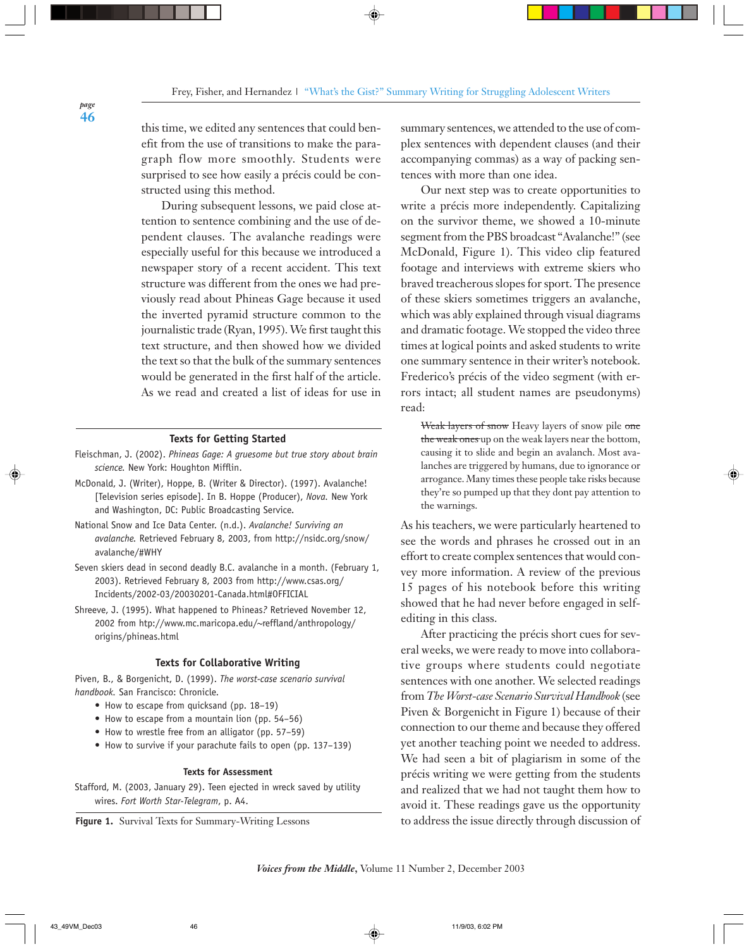this time, we edited any sentences that could benefit from the use of transitions to make the paragraph flow more smoothly. Students were surprised to see how easily a précis could be constructed using this method.

During subsequent lessons, we paid close attention to sentence combining and the use of dependent clauses. The avalanche readings were especially useful for this because we introduced a newspaper story of a recent accident. This text structure was different from the ones we had previously read about Phineas Gage because it used the inverted pyramid structure common to the journalistic trade (Ryan, 1995). We first taught this text structure, and then showed how we divided the text so that the bulk of the summary sentences would be generated in the first half of the article. As we read and created a list of ideas for use in

#### **Texts for Getting Started**

- Fleischman, J. (2002). *Phineas Gage: A gruesome but true story about brain science.* New York: Houghton Mifflin.
- McDonald, J. (Writer), Hoppe, B. (Writer & Director). (1997). Avalanche! [Television series episode]. In B. Hoppe (Producer), *Nova.* New York and Washington, DC: Public Broadcasting Service.
- National Snow and Ice Data Center. (n.d.). *Avalanche! Surviving an avalanche.* Retrieved February 8, 2003, from http://nsidc.org/snow/ avalanche/#WHY
- Seven skiers dead in second deadly B.C. avalanche in a month. (February 1, 2003). Retrieved February 8, 2003 from http://www.csas.org/ Incidents/2002-03/20030201-Canada.html#OFFICIAL
- Shreeve, J. (1995). What happened to Phineas*?* Retrieved November 12, 2002 from htp://www.mc.maricopa.edu/~reffland/anthropology/ origins/phineas.html

#### **Texts for Collaborative Writing**

Piven, B., & Borgenicht, D. (1999). *The worst-case scenario survival handbook.* San Francisco: Chronicle.

- How to escape from quicksand (pp. 18–19)
- How to escape from a mountain lion (pp. 54–56)
- How to wrestle free from an alligator (pp. 57–59)
- How to survive if your parachute fails to open (pp. 137–139)

#### **Texts for Assessment**

Stafford, M. (2003, January 29). Teen ejected in wreck saved by utility wires. *Fort Worth Star-Telegram*, p. A4.

**Figure 1.** Survival Texts for Summary-Writing Lessons

summary sentences, we attended to the use of complex sentences with dependent clauses (and their accompanying commas) as a way of packing sentences with more than one idea.

Our next step was to create opportunities to write a précis more independently. Capitalizing on the survivor theme, we showed a 10-minute segment from the PBS broadcast "Avalanche!" (see McDonald, Figure 1). This video clip featured footage and interviews with extreme skiers who braved treacherous slopes for sport. The presence of these skiers sometimes triggers an avalanche, which was ably explained through visual diagrams and dramatic footage. We stopped the video three times at logical points and asked students to write one summary sentence in their writer's notebook. Frederico's précis of the video segment (with errors intact; all student names are pseudonyms) read:

Weak layers of snow Heavy layers of snow pile one the weak ones up on the weak layers near the bottom, causing it to slide and begin an avalanch. Most avalanches are triggered by humans, due to ignorance or arrogance. Many times these people take risks because they're so pumped up that they dont pay attention to the warnings.

As his teachers, we were particularly heartened to see the words and phrases he crossed out in an effort to create complex sentences that would convey more information. A review of the previous 15 pages of his notebook before this writing showed that he had never before engaged in selfediting in this class.

After practicing the précis short cues for several weeks, we were ready to move into collaborative groups where students could negotiate sentences with one another. We selected readings from *The Worst-case Scenario Survival Handbook* (see Piven & Borgenicht in Figure 1) because of their connection to our theme and because they offered yet another teaching point we needed to address. We had seen a bit of plagiarism in some of the précis writing we were getting from the students and realized that we had not taught them how to avoid it. These readings gave us the opportunity to address the issue directly through discussion of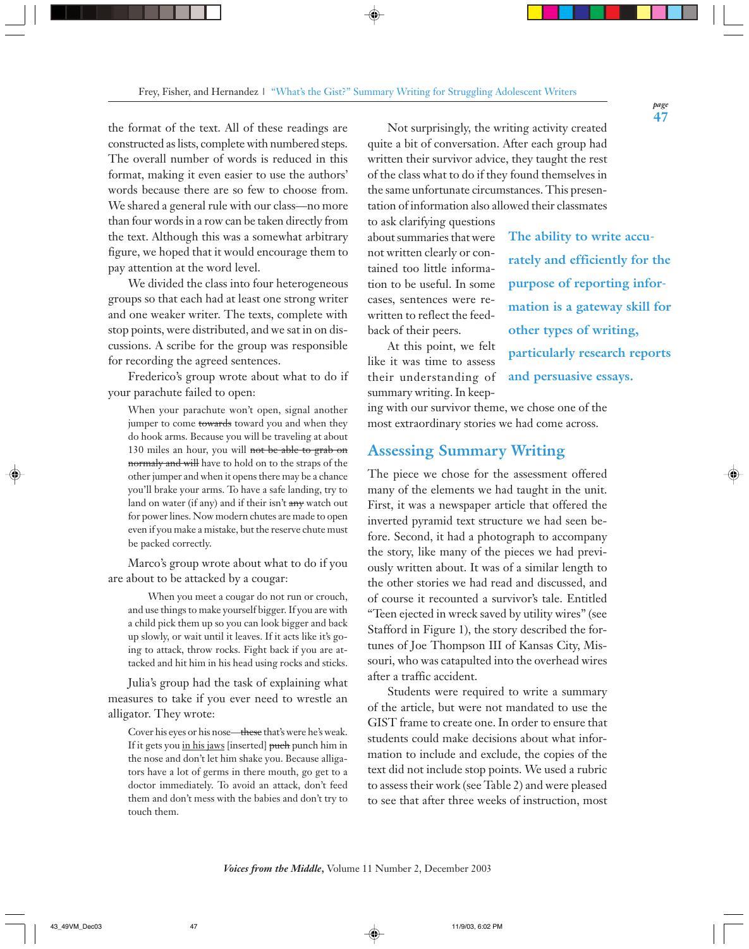the format of the text. All of these readings are constructed as lists, complete with numbered steps. The overall number of words is reduced in this format, making it even easier to use the authors' words because there are so few to choose from. We shared a general rule with our class—no more than four words in a row can be taken directly from the text. Although this was a somewhat arbitrary figure, we hoped that it would encourage them to pay attention at the word level.

We divided the class into four heterogeneous groups so that each had at least one strong writer and one weaker writer. The texts, complete with stop points, were distributed, and we sat in on discussions. A scribe for the group was responsible for recording the agreed sentences.

Frederico's group wrote about what to do if your parachute failed to open:

When your parachute won't open, signal another jumper to come towards toward you and when they do hook arms. Because you will be traveling at about 130 miles an hour, you will not be able to grab on normaly and will have to hold on to the straps of the other jumper and when it opens there may be a chance you'll brake your arms. To have a safe landing, try to land on water (if any) and if their isn't any watch out for power lines. Now modern chutes are made to open even if you make a mistake, but the reserve chute must be packed correctly.

Marco's group wrote about what to do if you are about to be attacked by a cougar:

When you meet a cougar do not run or crouch, and use things to make yourself bigger. If you are with a child pick them up so you can look bigger and back up slowly, or wait until it leaves. If it acts like it's going to attack, throw rocks. Fight back if you are attacked and hit him in his head using rocks and sticks.

Julia's group had the task of explaining what measures to take if you ever need to wrestle an alligator. They wrote:

Cover his eyes or his nose—these that's were he's weak. If it gets you in his jaws [inserted] puch punch him in the nose and don't let him shake you. Because alligators have a lot of germs in there mouth, go get to a doctor immediately. To avoid an attack, don't feed them and don't mess with the babies and don't try to touch them.

Not surprisingly, the writing activity created quite a bit of conversation. After each group had written their survivor advice, they taught the rest of the class what to do if they found themselves in the same unfortunate circumstances. This presentation of information also allowed their classmates

to ask clarifying questions about summaries that were not written clearly or contained too little information to be useful. In some cases, sentences were rewritten to reflect the feedback of their peers.

At this point, we felt like it was time to assess their understanding of summary writing. In keep**The ability to write accurately and efficiently for the purpose of reporting information is a gateway skill for other types of writing, particularly research reports and persuasive essays.**

ing with our survivor theme, we chose one of the most extraordinary stories we had come across.

## **Assessing Summary Writing**

The piece we chose for the assessment offered many of the elements we had taught in the unit. First, it was a newspaper article that offered the inverted pyramid text structure we had seen before. Second, it had a photograph to accompany the story, like many of the pieces we had previously written about. It was of a similar length to the other stories we had read and discussed, and of course it recounted a survivor's tale. Entitled "Teen ejected in wreck saved by utility wires" (see Stafford in Figure 1), the story described the fortunes of Joe Thompson III of Kansas City, Missouri, who was catapulted into the overhead wires after a traffic accident.

Students were required to write a summary of the article, but were not mandated to use the GIST frame to create one. In order to ensure that students could make decisions about what information to include and exclude, the copies of the text did not include stop points. We used a rubric to assess their work (see Table 2) and were pleased to see that after three weeks of instruction, most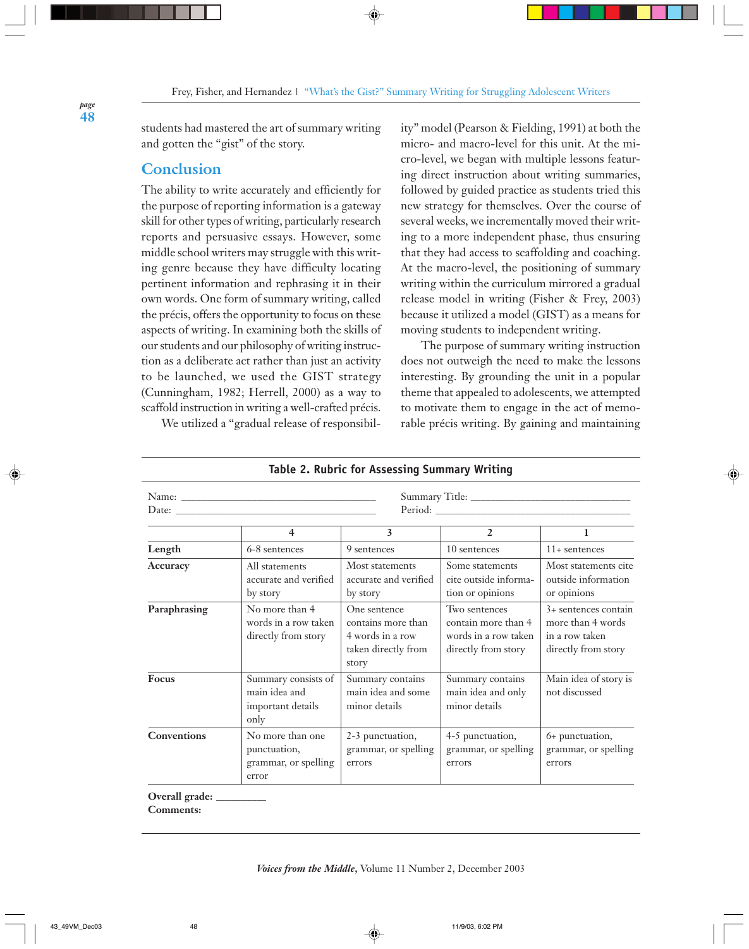students had mastered the art of summary writing and gotten the "gist" of the story.

# **Conclusion**

The ability to write accurately and efficiently for the purpose of reporting information is a gateway skill for other types of writing, particularly research reports and persuasive essays. However, some middle school writers may struggle with this writing genre because they have difficulty locating pertinent information and rephrasing it in their own words. One form of summary writing, called the précis, offers the opportunity to focus on these aspects of writing. In examining both the skills of our students and our philosophy of writing instruction as a deliberate act rather than just an activity to be launched, we used the GIST strategy (Cunningham, 1982; Herrell, 2000) as a way to scaffold instruction in writing a well-crafted précis.

We utilized a "gradual release of responsibil-

ity" model (Pearson & Fielding, 1991) at both the micro- and macro-level for this unit. At the micro-level, we began with multiple lessons featuring direct instruction about writing summaries, followed by guided practice as students tried this new strategy for themselves. Over the course of several weeks, we incrementally moved their writing to a more independent phase, thus ensuring that they had access to scaffolding and coaching. At the macro-level, the positioning of summary writing within the curriculum mirrored a gradual release model in writing (Fisher & Frey, 2003) because it utilized a model (GIST) as a means for moving students to independent writing.

The purpose of summary writing instruction does not outweigh the need to make the lessons interesting. By grounding the unit in a popular theme that appealed to adolescents, we attempted to motivate them to engage in the act of memorable précis writing. By gaining and maintaining

|                    | $\overline{4}$                                                    | 3                                                                                      | 2                                                                                   | $\mathbf{1}$                                                                         |
|--------------------|-------------------------------------------------------------------|----------------------------------------------------------------------------------------|-------------------------------------------------------------------------------------|--------------------------------------------------------------------------------------|
| Length             | 6-8 sentences                                                     | 9 sentences                                                                            | 10 sentences                                                                        | $11+$ sentences                                                                      |
| Accuracy           | All statements<br>accurate and verified<br>by story               | Most statements<br>accurate and verified<br>by story                                   | Some statements<br>cite outside informa-<br>tion or opinions                        | Most statements cite<br>outside information<br>or opinions                           |
| Paraphrasing       | No more than 4<br>words in a row taken<br>directly from story     | One sentence<br>contains more than<br>4 words in a row<br>taken directly from<br>story | Two sentences<br>contain more than 4<br>words in a row taken<br>directly from story | $3+$ sentences contain<br>more than 4 words<br>in a row taken<br>directly from story |
| <b>Focus</b>       | Summary consists of<br>main idea and<br>important details<br>only | Summary contains<br>main idea and some<br>minor details                                | Summary contains<br>main idea and only<br>minor details                             | Main idea of story is<br>not discussed                                               |
| <b>Conventions</b> | No more than one<br>punctuation,<br>grammar, or spelling<br>error | 2-3 punctuation,<br>grammar, or spelling<br>errors                                     | 4-5 punctuation,<br>grammar, or spelling<br>errors                                  | 6+ punctuation,<br>grammar, or spelling<br>errors                                    |

#### **Table 2. Rubric for Assessing Summary Writing**

**Overall grade: \_\_\_\_\_\_\_\_\_\_ Comments:**